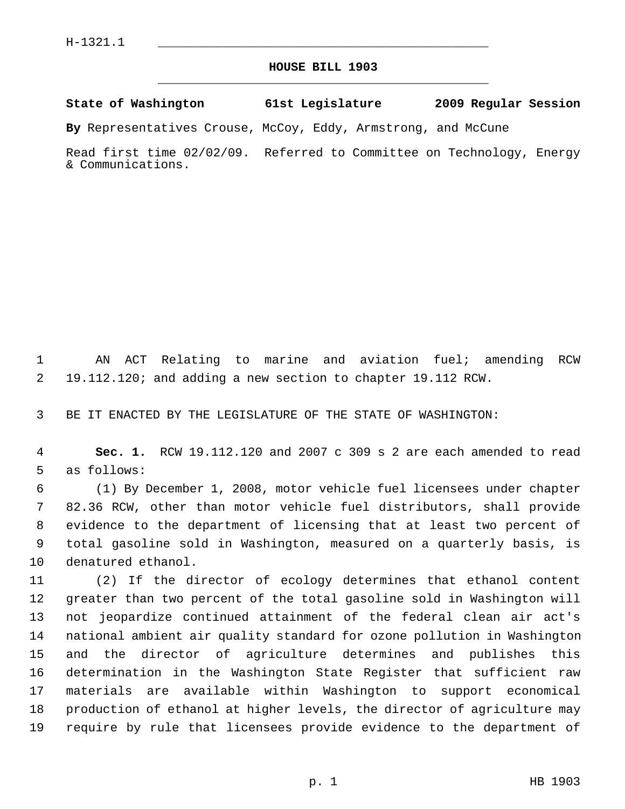## **HOUSE BILL 1903** \_\_\_\_\_\_\_\_\_\_\_\_\_\_\_\_\_\_\_\_\_\_\_\_\_\_\_\_\_\_\_\_\_\_\_\_\_\_\_\_\_\_\_\_\_

## **State of Washington 61st Legislature 2009 Regular Session**

**By** Representatives Crouse, McCoy, Eddy, Armstrong, and McCune

Read first time 02/02/09. Referred to Committee on Technology, Energy & Communications.

 1 AN ACT Relating to marine and aviation fuel; amending RCW 2 19.112.120; and adding a new section to chapter 19.112 RCW.

3 BE IT ENACTED BY THE LEGISLATURE OF THE STATE OF WASHINGTON:

 4 **Sec. 1.** RCW 19.112.120 and 2007 c 309 s 2 are each amended to read 5 as follows:

 6 (1) By December 1, 2008, motor vehicle fuel licensees under chapter 7 82.36 RCW, other than motor vehicle fuel distributors, shall provide 8 evidence to the department of licensing that at least two percent of 9 total gasoline sold in Washington, measured on a quarterly basis, is 10 denatured ethanol.

11 (2) If the director of ecology determines that ethanol content 12 greater than two percent of the total gasoline sold in Washington will 13 not jeopardize continued attainment of the federal clean air act's 14 national ambient air quality standard for ozone pollution in Washington 15 and the director of agriculture determines and publishes this 16 determination in the Washington State Register that sufficient raw 17 materials are available within Washington to support economical 18 production of ethanol at higher levels, the director of agriculture may 19 require by rule that licensees provide evidence to the department of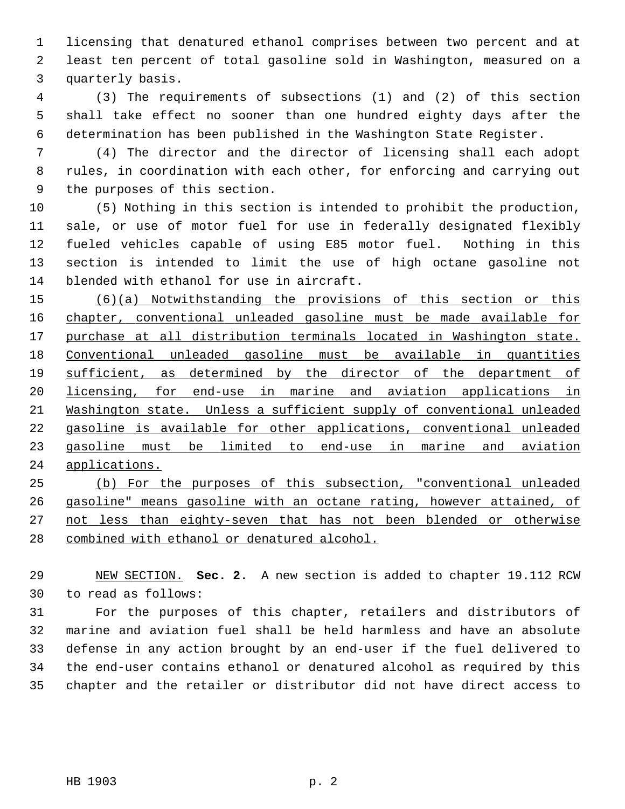1 licensing that denatured ethanol comprises between two percent and at 2 least ten percent of total gasoline sold in Washington, measured on a 3 quarterly basis.

 4 (3) The requirements of subsections (1) and (2) of this section 5 shall take effect no sooner than one hundred eighty days after the 6 determination has been published in the Washington State Register.

 7 (4) The director and the director of licensing shall each adopt 8 rules, in coordination with each other, for enforcing and carrying out 9 the purposes of this section.

10 (5) Nothing in this section is intended to prohibit the production, 11 sale, or use of motor fuel for use in federally designated flexibly 12 fueled vehicles capable of using E85 motor fuel. Nothing in this 13 section is intended to limit the use of high octane gasoline not 14 blended with ethanol for use in aircraft.

 (6)(a) Notwithstanding the provisions of this section or this chapter, conventional unleaded gasoline must be made available for purchase at all distribution terminals located in Washington state. Conventional unleaded gasoline must be available in quantities sufficient, as determined by the director of the department of licensing, for end-use in marine and aviation applications in Washington state. Unless a sufficient supply of conventional unleaded gasoline is available for other applications, conventional unleaded gasoline must be limited to end-use in marine and aviation applications.

 (b) For the purposes of this subsection, "conventional unleaded gasoline" means gasoline with an octane rating, however attained, of not less than eighty-seven that has not been blended or otherwise combined with ethanol or denatured alcohol.

29 NEW SECTION. **Sec. 2.** A new section is added to chapter 19.112 RCW 30 to read as follows:

31 For the purposes of this chapter, retailers and distributors of 32 marine and aviation fuel shall be held harmless and have an absolute 33 defense in any action brought by an end-user if the fuel delivered to 34 the end-user contains ethanol or denatured alcohol as required by this 35 chapter and the retailer or distributor did not have direct access to